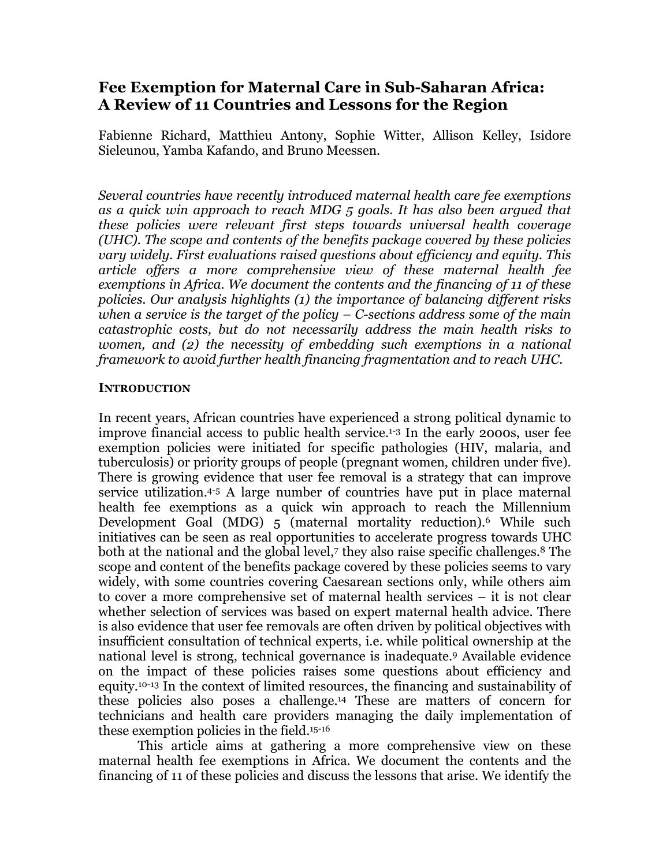# **Fee Exemption for Maternal Care in Sub-Saharan Africa: A Review of 11 Countries and Lessons for the Region**

Fabienne Richard, Matthieu Antony, Sophie Witter, Allison Kelley, Isidore Sieleunou, Yamba Kafando, and Bruno Meessen.

*Several countries have recently introduced maternal health care fee exemptions as a quick win approach to reach MDG 5 goals. It has also been argued that these policies were relevant first steps towards universal health coverage (UHC). The scope and contents of the benefits package covered by these policies vary widely. First evaluations raised questions about efficiency and equity. This article offers a more comprehensive view of these maternal health fee exemptions in Africa. We document the contents and the financing of 11 of these policies. Our analysis highlights (1) the importance of balancing different risks when a service is the target of the policy – C-sections address some of the main catastrophic costs, but do not necessarily address the main health risks to women, and (2) the necessity of embedding such exemptions in a national framework to avoid further health financing fragmentation and to reach UHC.*

### **INTRODUCTION**

In recent years, African countries have experienced a strong political dynamic to improve financial access to public health service.1-3 In the early 2000s, user fee exemption policies were initiated for specific pathologies (HIV, malaria, and tuberculosis) or priority groups of people (pregnant women, children under five). There is growing evidence that user fee removal is a strategy that can improve service utilization.4-5 A large number of countries have put in place maternal health fee exemptions as a quick win approach to reach the Millennium Development Goal (MDG) 5 (maternal mortality reduction).6 While such initiatives can be seen as real opportunities to accelerate progress towards UHC both at the national and the global level,<sup>7</sup> they also raise specific challenges.<sup>8</sup> The scope and content of the benefits package covered by these policies seems to vary widely, with some countries covering Caesarean sections only, while others aim to cover a more comprehensive set of maternal health services – it is not clear whether selection of services was based on expert maternal health advice. There is also evidence that user fee removals are often driven by political objectives with insufficient consultation of technical experts, i.e. while political ownership at the national level is strong, technical governance is inadequate.9 Available evidence on the impact of these policies raises some questions about efficiency and equity.10-13 In the context of limited resources, the financing and sustainability of these policies also poses a challenge.14 These are matters of concern for technicians and health care providers managing the daily implementation of these exemption policies in the field.15-16

This article aims at gathering a more comprehensive view on these maternal health fee exemptions in Africa. We document the contents and the financing of 11 of these policies and discuss the lessons that arise. We identify the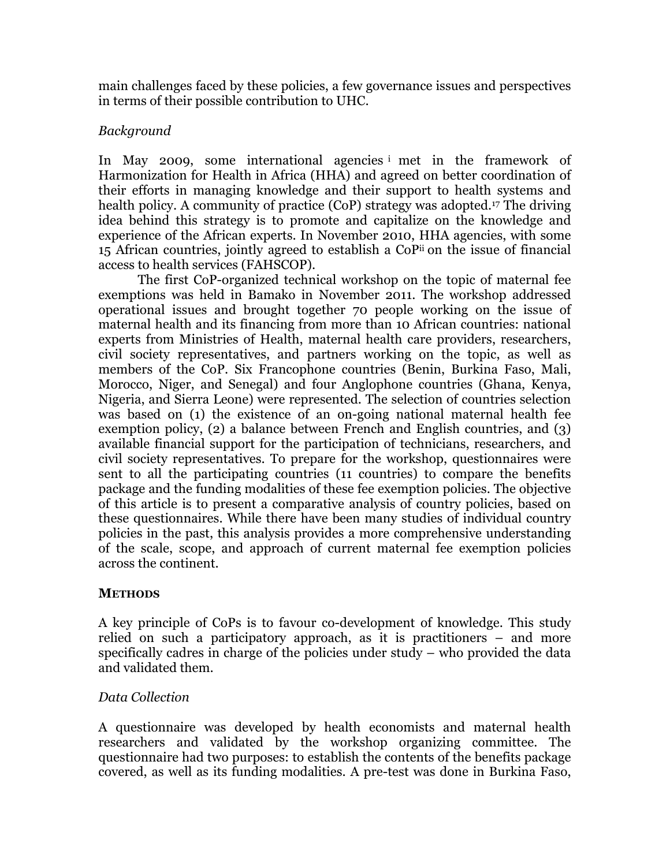main challenges faced by these policies, a few governance issues and perspectives in terms of their possible contribution to UHC.

## *Background*

In May 2009, some international agencies <sup>i</sup> met in the framework of Harmonization for Health in Africa (HHA) and agreed on better coordination of their efforts in managing knowledge and their support to health systems and health policy. A community of practice (CoP) strategy was adopted.<sup>17</sup> The driving idea behind this strategy is to promote and capitalize on the knowledge and experience of the African experts. In November 2010, HHA agencies, with some 15 African countries, jointly agreed to establish a CoPii on the issue of financial access to health services (FAHSCOP).

The first CoP-organized technical workshop on the topic of maternal fee exemptions was held in Bamako in November 2011. The workshop addressed operational issues and brought together 70 people working on the issue of maternal health and its financing from more than 10 African countries: national experts from Ministries of Health, maternal health care providers, researchers, civil society representatives, and partners working on the topic, as well as members of the CoP. Six Francophone countries (Benin, Burkina Faso, Mali, Morocco, Niger, and Senegal) and four Anglophone countries (Ghana, Kenya, Nigeria, and Sierra Leone) were represented. The selection of countries selection was based on (1) the existence of an on-going national maternal health fee exemption policy, (2) a balance between French and English countries, and (3) available financial support for the participation of technicians, researchers, and civil society representatives. To prepare for the workshop, questionnaires were sent to all the participating countries (11 countries) to compare the benefits package and the funding modalities of these fee exemption policies. The objective of this article is to present a comparative analysis of country policies, based on these questionnaires. While there have been many studies of individual country policies in the past, this analysis provides a more comprehensive understanding of the scale, scope, and approach of current maternal fee exemption policies across the continent.

### **METHODS**

A key principle of CoPs is to favour co-development of knowledge. This study relied on such a participatory approach, as it is practitioners – and more specifically cadres in charge of the policies under study – who provided the data and validated them.

# *Data Collection*

A questionnaire was developed by health economists and maternal health researchers and validated by the workshop organizing committee. The questionnaire had two purposes: to establish the contents of the benefits package covered, as well as its funding modalities. A pre-test was done in Burkina Faso,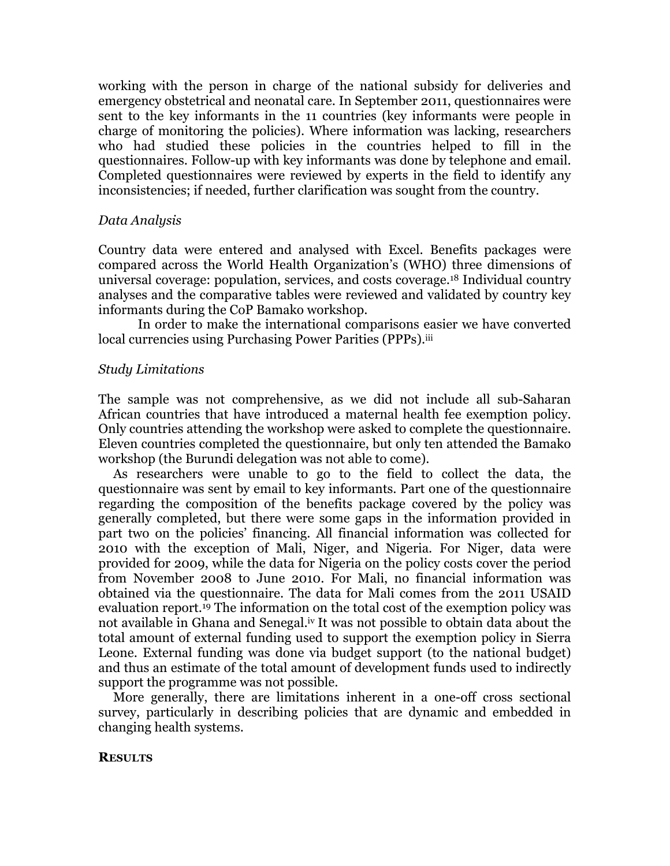working with the person in charge of the national subsidy for deliveries and emergency obstetrical and neonatal care. In September 2011, questionnaires were sent to the key informants in the 11 countries (key informants were people in charge of monitoring the policies). Where information was lacking, researchers who had studied these policies in the countries helped to fill in the questionnaires. Follow-up with key informants was done by telephone and email. Completed questionnaires were reviewed by experts in the field to identify any inconsistencies; if needed, further clarification was sought from the country.

### *Data Analysis*

Country data were entered and analysed with Excel. Benefits packages were compared across the World Health Organization's (WHO) three dimensions of universal coverage: population, services, and costs coverage.18 Individual country analyses and the comparative tables were reviewed and validated by country key informants during the CoP Bamako workshop.

In order to make the international comparisons easier we have converted local currencies using Purchasing Power Parities (PPPs).<sup>iii</sup>

### *Study Limitations*

The sample was not comprehensive, as we did not include all sub-Saharan African countries that have introduced a maternal health fee exemption policy. Only countries attending the workshop were asked to complete the questionnaire. Eleven countries completed the questionnaire, but only ten attended the Bamako workshop (the Burundi delegation was not able to come).

As researchers were unable to go to the field to collect the data, the questionnaire was sent by email to key informants. Part one of the questionnaire regarding the composition of the benefits package covered by the policy was generally completed, but there were some gaps in the information provided in part two on the policies' financing. All financial information was collected for 2010 with the exception of Mali, Niger, and Nigeria. For Niger, data were provided for 2009, while the data for Nigeria on the policy costs cover the period from November 2008 to June 2010. For Mali, no financial information was obtained via the questionnaire. The data for Mali comes from the 2011 USAID evaluation report.19 The information on the total cost of the exemption policy was not available in Ghana and Senegal.<sup>iv</sup> It was not possible to obtain data about the total amount of external funding used to support the exemption policy in Sierra Leone. External funding was done via budget support (to the national budget) and thus an estimate of the total amount of development funds used to indirectly support the programme was not possible.

More generally, there are limitations inherent in a one-off cross sectional survey, particularly in describing policies that are dynamic and embedded in changing health systems.

#### **RESULTS**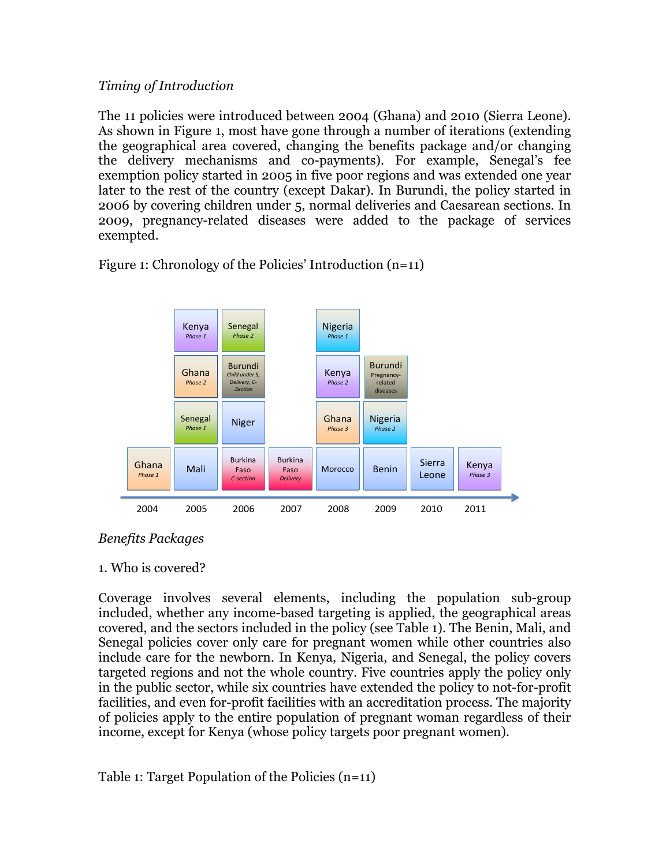## *Timing of Introduction*

The 11 policies were introduced between 2004 (Ghana) and 2010 (Sierra Leone). As shown in Figure 1, most have gone through a number of iterations (extending the geographical area covered, changing the benefits package and/or changing the delivery mechanisms and co-payments). For example, Senegal's fee exemption policy started in 2005 in five poor regions and was extended one year later to the rest of the country (except Dakar). In Burundi, the policy started in 2006 by covering children under 5, normal deliveries and Caesarean sections. In 2009, pregnancy-related diseases were added to the package of services exempted.

Burkina Faso *CC--section* Niger Mali Burkina Burkina<br>Mali Faso Faso Morocco Benin Loone Leone Ghana *Phase 1* Senegal *Phase 1* Ghana *Phase 2* Burundi Child under 5, *Delivery, C- - .Section* Senegal *Phase 2* Ghana *Phase 3* 2004 2005 2006 2007 2008 2009 2010 Kenya *Phase 1* Kenya *Phase 2* Kenya *Phase 3* 2011 Nigeria *Phase 1* Nigeria *Phase 2* Burkina Faso *Delivery* Burundi Pregnancy- related diseases

Figure 1: Chronology of the Policies' Introduction (n=11)

### *Benefits Packages*

### 1. Who is covered?

Coverage involves several elements, including the population sub-group included, whether any income-based targeting is applied, the geographical areas covered, and the sectors included in the policy (see Table 1). The Benin, Mali, and Senegal policies cover only care for pregnant women while other countries also include care for the newborn. In Kenya, Nigeria, and Senegal, the policy covers targeted regions and not the whole country. Five countries apply the policy only in the public sector, while six countries have extended the policy to not-for-profit facilities, and even for-profit facilities with an accreditation process. The majority of policies apply to the entire population of pregnant woman regardless of their income, except for Kenya (whose policy targets poor pregnant women).

Table 1: Target Population of the Policies (n=11)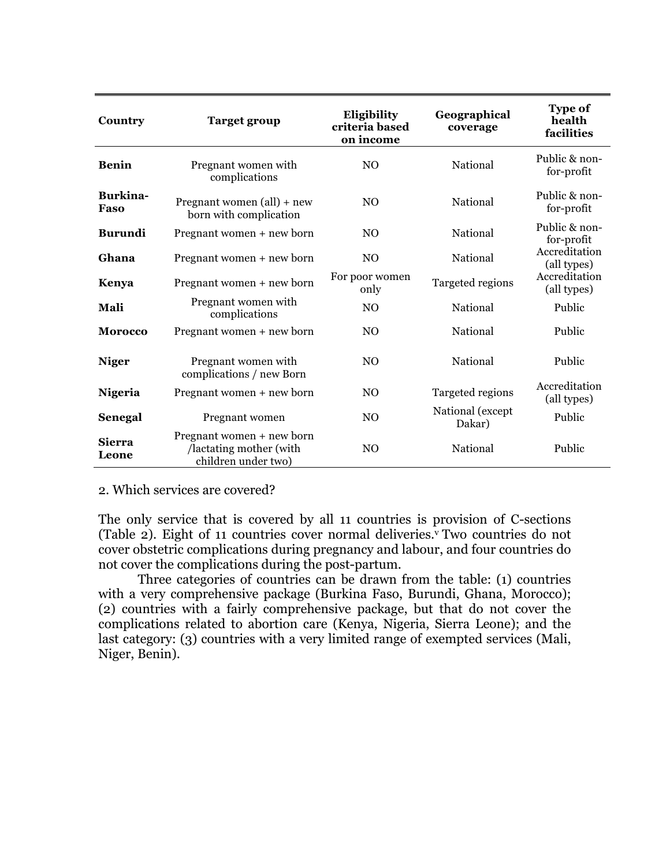| Country                 | <b>Target group</b>                                                         | Eligibility<br>criteria based<br>on income | Geographical<br>coverage   | <b>Type of</b><br>health<br>facilities |
|-------------------------|-----------------------------------------------------------------------------|--------------------------------------------|----------------------------|----------------------------------------|
| <b>Benin</b>            | Pregnant women with<br>complications                                        | N <sub>O</sub>                             | National                   | Public & non-<br>for-profit            |
| <b>Burkina-</b><br>Faso | Pregnant women $\text{(all)}$ + new<br>born with complication               | N <sub>O</sub>                             | National                   | Public & non-<br>for-profit            |
| <b>Burundi</b>          | Pregnant women + new born                                                   | N <sub>O</sub>                             | National                   | Public & non-<br>for-profit            |
| Ghana                   | Pregnant women + new born                                                   | N <sub>O</sub>                             | National                   | Accreditation<br>(all types)           |
| Kenya                   | Pregnant women + new born                                                   | For poor women<br>only                     | Targeted regions           | Accreditation<br>(all types)           |
| Mali                    | Pregnant women with<br>complications                                        | N <sub>O</sub>                             | National                   | Public                                 |
| <b>Morocco</b>          | Pregnant women + new born                                                   | N <sub>O</sub>                             | National                   | Public                                 |
| <b>Niger</b>            | Pregnant women with<br>complications / new Born                             | N <sub>O</sub>                             | National                   | Public                                 |
| Nigeria                 | Pregnant women + new born                                                   | N <sub>O</sub>                             | Targeted regions           | Accreditation<br>(all types)           |
| Senegal                 | Pregnant women                                                              | N <sub>O</sub>                             | National (except<br>Dakar) | Public                                 |
| <b>Sierra</b><br>Leone  | Pregnant women + new born<br>/lactating mother (with<br>children under two) | N <sub>O</sub>                             | National                   | Public                                 |

#### 2. Which services are covered?

The only service that is covered by all 11 countries is provision of C-sections (Table 2). Eight of 11 countries cover normal deliveries.<sup>v</sup> Two countries do not cover obstetric complications during pregnancy and labour, and four countries do not cover the complications during the post-partum.

Three categories of countries can be drawn from the table: (1) countries with a very comprehensive package (Burkina Faso, Burundi, Ghana, Morocco); (2) countries with a fairly comprehensive package, but that do not cover the complications related to abortion care (Kenya, Nigeria, Sierra Leone); and the last category: (3) countries with a very limited range of exempted services (Mali, Niger, Benin).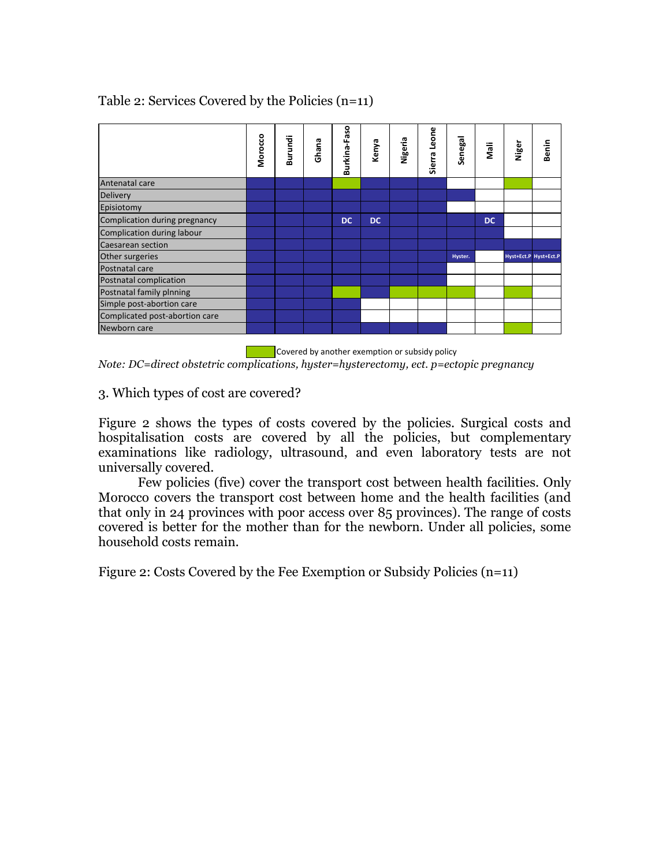## Table 2: Services Covered by the Policies (n=11)

|                                | Morocco | Burundi | Ghana | Burkina-Faso | Kenya     | Nigeria | Sierra Leone | Senegal | Nali | Niger | Benin                 |
|--------------------------------|---------|---------|-------|--------------|-----------|---------|--------------|---------|------|-------|-----------------------|
| Antenatal care                 |         |         |       |              |           |         |              |         |      |       |                       |
| <b>Delivery</b>                |         |         |       |              |           |         |              |         |      |       |                       |
| Episiotomy                     |         |         |       |              |           |         |              |         |      |       |                       |
| Complication during pregnancy  |         |         |       | <b>DC</b>    | <b>DC</b> |         |              |         | DC   |       |                       |
| Complication during labour     |         |         |       |              |           |         |              |         |      |       |                       |
| Caesarean section              |         |         |       |              |           |         |              |         |      |       |                       |
| Other surgeries                |         |         |       |              |           |         |              | Hyster. |      |       | Hyst+Ect.P Hyst+Ect.P |
| Postnatal care                 |         |         |       |              |           |         |              |         |      |       |                       |
| Postnatal complication         |         |         |       |              |           |         |              |         |      |       |                       |
| Postnatal family plnning       |         |         |       |              |           |         |              |         |      |       |                       |
| Simple post-abortion care      |         |         |       |              |           |         |              |         |      |       |                       |
| Complicated post-abortion care |         |         |       |              |           |         |              |         |      |       |                       |
| Newborn care                   |         |         |       |              |           |         |              |         |      |       |                       |

 $\blacksquare$  Covered by another exemption or subsidy policy *Note: DC=direct obstetric complications, hyster=hysterectomy, ect. p=ectopic pregnancy*

### 3. Which types of cost are covered?

Figure 2 shows the types of costs covered by the policies. Surgical costs and hospitalisation costs are covered by all the policies, but complementary examinations like radiology, ultrasound, and even laboratory tests are not universally covered.

Few policies (five) cover the transport cost between health facilities. Only Morocco covers the transport cost between home and the health facilities (and that only in 24 provinces with poor access over 85 provinces). The range of costs covered is better for the mother than for the newborn. Under all policies, some household costs remain.

Figure 2: Costs Covered by the Fee Exemption or Subsidy Policies (n=11)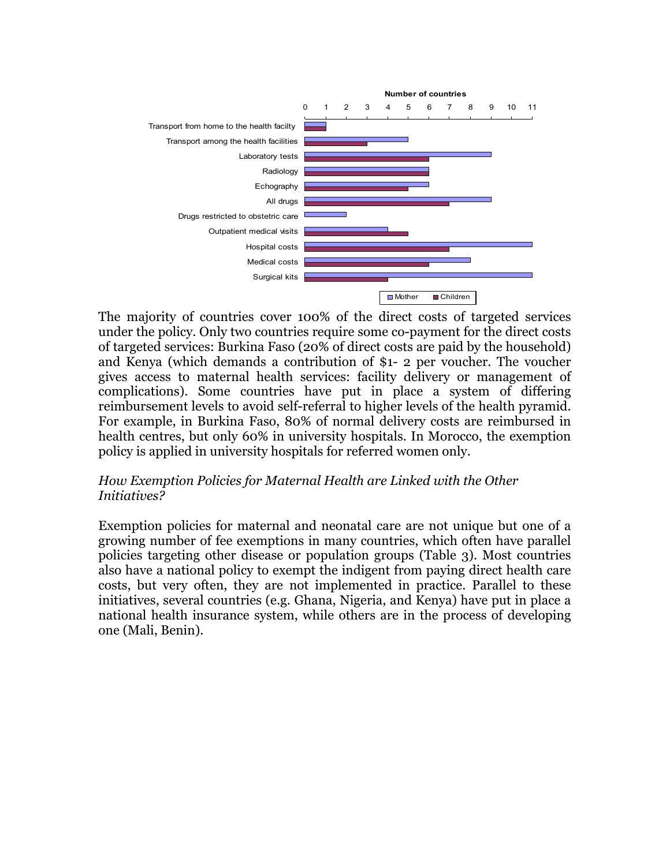

The majority of countries cover 100% of the direct costs of targeted services under the policy. Only two countries require some co-payment for the direct costs of targeted services: Burkina Faso (20% of direct costs are paid by the household) and Kenya (which demands a contribution of \$1- 2 per voucher. The voucher gives access to maternal health services: facility delivery or management of complications). Some countries have put in place a system of differing reimbursement levels to avoid self-referral to higher levels of the health pyramid. For example, in Burkina Faso, 80% of normal delivery costs are reimbursed in health centres, but only 60% in university hospitals. In Morocco, the exemption policy is applied in university hospitals for referred women only.

### *How Exemption Policies for Maternal Health are Linked with the Other Initiatives?*

Exemption policies for maternal and neonatal care are not unique but one of a growing number of fee exemptions in many countries, which often have parallel policies targeting other disease or population groups (Table 3). Most countries also have a national policy to exempt the indigent from paying direct health care costs, but very often, they are not implemented in practice. Parallel to these initiatives, several countries (e.g. Ghana, Nigeria, and Kenya) have put in place a national health insurance system, while others are in the process of developing one (Mali, Benin).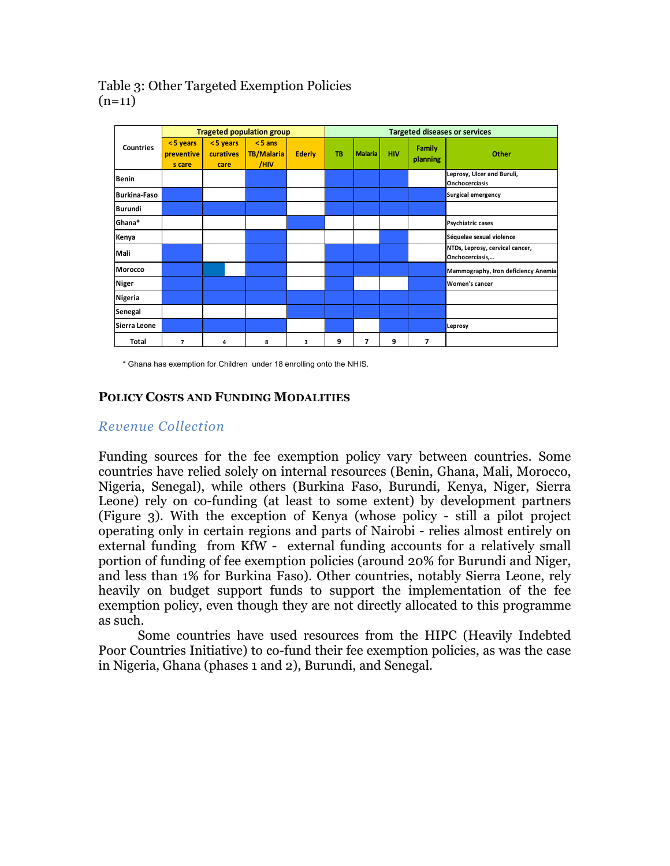### Table 3: Other Targeted Exemption Policies  $(n=11)$

|                     | <b>Trageted population group</b> |                               |                                        |               | <b>Targeted diseases or services</b> |                |            |                    |                                                    |
|---------------------|----------------------------------|-------------------------------|----------------------------------------|---------------|--------------------------------------|----------------|------------|--------------------|----------------------------------------------------|
| <b>Countries</b>    | <5 years<br>preventive<br>s care | <5 years<br>curatives<br>care | $< 5$ ans<br><b>TB/Malaria</b><br>/HIV | <b>Ederly</b> | <b>TB</b>                            | <b>Malaria</b> | <b>HIV</b> | Family<br>planning | Other                                              |
| Benin               |                                  |                               |                                        |               |                                      |                |            |                    | Leprosy, Ulcer and Buruli,<br>Onchocerciasis       |
| <b>Burkina-Faso</b> |                                  |                               |                                        |               |                                      |                |            |                    | <b>Surgical emergency</b>                          |
| Burundi             |                                  |                               |                                        |               |                                      |                |            |                    |                                                    |
| <b>Ghana*</b>       |                                  |                               |                                        |               |                                      |                |            |                    | Psychiatric cases                                  |
| Kenya               |                                  |                               |                                        |               |                                      |                |            |                    | Séquelae sexual violence                           |
| Mali                |                                  |                               |                                        |               |                                      |                |            |                    | NTDs, Leprosy, cervical cancer,<br>Onchocerciasis, |
| Morocco             |                                  |                               |                                        |               |                                      |                |            |                    | Mammography, Iron deficiency Anemia                |
| Niger               |                                  |                               |                                        |               |                                      |                |            |                    | Women's cancer                                     |
| Nigeria             |                                  |                               |                                        |               |                                      |                |            |                    |                                                    |
| Senegal             |                                  |                               |                                        |               |                                      |                |            |                    |                                                    |
| Sierra Leone        |                                  |                               |                                        |               |                                      |                |            |                    | Leprosy                                            |
| <b>Total</b>        | 7                                | 4                             | 8                                      | 3             | 9                                    | 7              | 9          | 7                  |                                                    |

\* Ghana has exemption for Children under 18 enrolling onto the NHIS.

### **POLICY COSTS AND FUNDING MODALITIES**

## *Revenue Collection*

Funding sources for the fee exemption policy vary between countries. Some countries have relied solely on internal resources (Benin, Ghana, Mali, Morocco, Nigeria, Senegal), while others (Burkina Faso, Burundi, Kenya, Niger, Sierra Leone) rely on co-funding (at least to some extent) by development partners (Figure 3). With the exception of Kenya (whose policy - still a pilot project operating only in certain regions and parts of Nairobi - relies almost entirely on external funding from KfW - external funding accounts for a relatively small portion of funding of fee exemption policies (around 20% for Burundi and Niger, and less than 1% for Burkina Faso). Other countries, notably Sierra Leone, rely heavily on budget support funds to support the implementation of the fee exemption policy, even though they are not directly allocated to this programme as such.

Some countries have used resources from the HIPC (Heavily Indebted Poor Countries Initiative) to co-fund their fee exemption policies, as was the case in Nigeria, Ghana (phases 1 and 2), Burundi, and Senegal.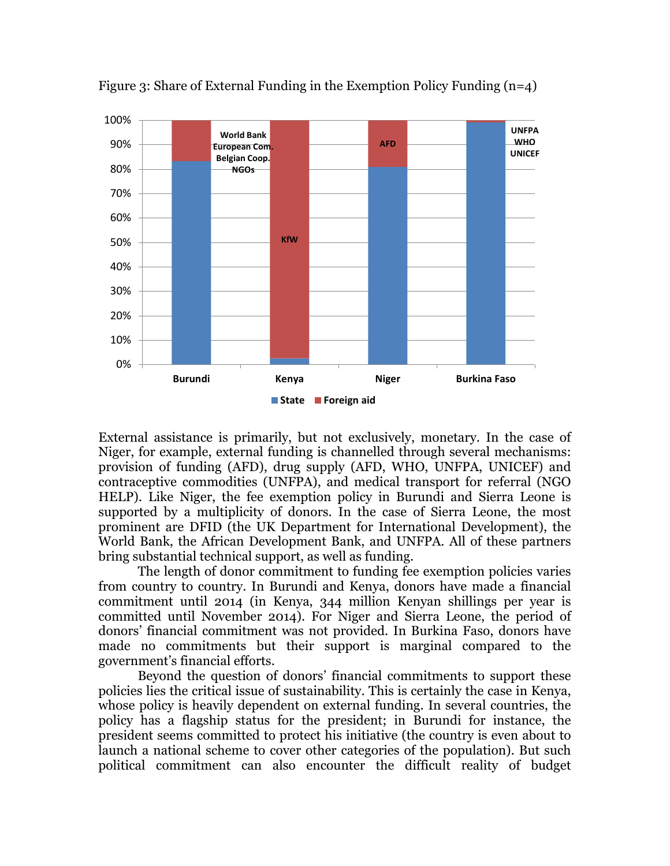

Figure 3: Share of External Funding in the Exemption Policy Funding  $(n=4)$ 

External assistance is primarily, but not exclusively, monetary. In the case of Niger, for example, external funding is channelled through several mechanisms: provision of funding (AFD), drug supply (AFD, WHO, UNFPA, UNICEF) and contraceptive commodities (UNFPA), and medical transport for referral (NGO HELP). Like Niger, the fee exemption policy in Burundi and Sierra Leone is supported by a multiplicity of donors. In the case of Sierra Leone, the most prominent are DFID (the UK Department for International Development), the World Bank, the African Development Bank, and UNFPA. All of these partners bring substantial technical support, as well as funding.

The length of donor commitment to funding fee exemption policies varies from country to country. In Burundi and Kenya, donors have made a financial commitment until 2014 (in Kenya, 344 million Kenyan shillings per year is committed until November 2014). For Niger and Sierra Leone, the period of donors' financial commitment was not provided. In Burkina Faso, donors have made no commitments but their support is marginal compared to the government's financial efforts.

Beyond the question of donors' financial commitments to support these policies lies the critical issue of sustainability. This is certainly the case in Kenya, whose policy is heavily dependent on external funding. In several countries, the policy has a flagship status for the president; in Burundi for instance, the president seems committed to protect his initiative (the country is even about to launch a national scheme to cover other categories of the population). But such political commitment can also encounter the difficult reality of budget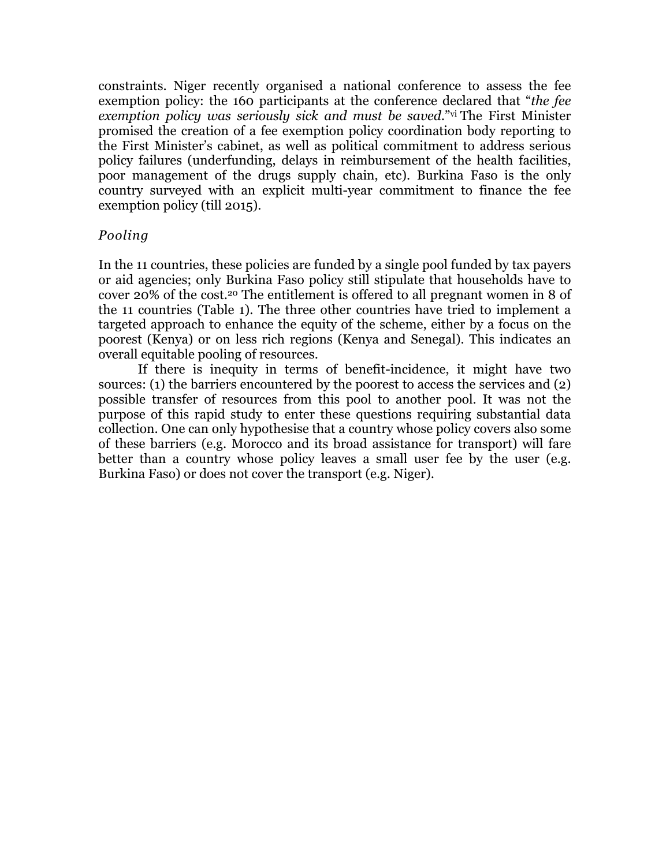constraints. Niger recently organised a national conference to assess the fee exemption policy: the 160 participants at the conference declared that "*the fee exemption policy was seriously sick and must be saved.*"vi The First Minister promised the creation of a fee exemption policy coordination body reporting to the First Minister's cabinet, as well as political commitment to address serious policy failures (underfunding, delays in reimbursement of the health facilities, poor management of the drugs supply chain, etc). Burkina Faso is the only country surveyed with an explicit multi-year commitment to finance the fee exemption policy (till 2015).

### *Pooling*

In the 11 countries, these policies are funded by a single pool funded by tax payers or aid agencies; only Burkina Faso policy still stipulate that households have to cover 20% of the cost.20 The entitlement is offered to all pregnant women in 8 of the 11 countries (Table 1). The three other countries have tried to implement a targeted approach to enhance the equity of the scheme, either by a focus on the poorest (Kenya) or on less rich regions (Kenya and Senegal). This indicates an overall equitable pooling of resources.

If there is inequity in terms of benefit-incidence, it might have two sources: (1) the barriers encountered by the poorest to access the services and (2) possible transfer of resources from this pool to another pool. It was not the purpose of this rapid study to enter these questions requiring substantial data collection. One can only hypothesise that a country whose policy covers also some of these barriers (e.g. Morocco and its broad assistance for transport) will fare better than a country whose policy leaves a small user fee by the user (e.g. Burkina Faso) or does not cover the transport (e.g. Niger).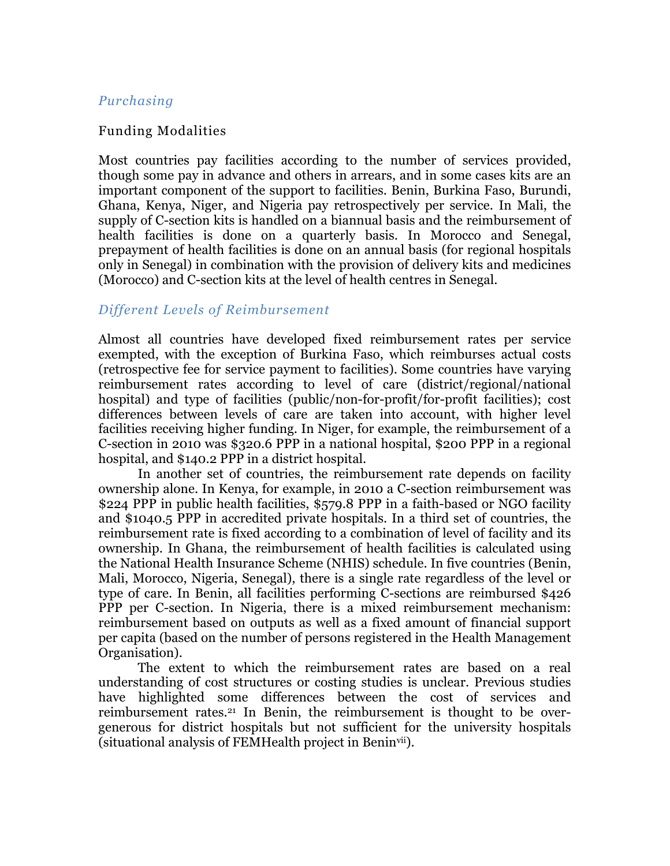### *Purchasing*

#### Funding Modalities

Most countries pay facilities according to the number of services provided, though some pay in advance and others in arrears, and in some cases kits are an important component of the support to facilities. Benin, Burkina Faso, Burundi, Ghana, Kenya, Niger, and Nigeria pay retrospectively per service. In Mali, the supply of C-section kits is handled on a biannual basis and the reimbursement of health facilities is done on a quarterly basis. In Morocco and Senegal, prepayment of health facilities is done on an annual basis (for regional hospitals only in Senegal) in combination with the provision of delivery kits and medicines (Morocco) and C-section kits at the level of health centres in Senegal.

#### *Different Levels of Reimbursement*

Almost all countries have developed fixed reimbursement rates per service exempted, with the exception of Burkina Faso, which reimburses actual costs (retrospective fee for service payment to facilities). Some countries have varying reimbursement rates according to level of care (district/regional/national hospital) and type of facilities (public/non-for-profit/for-profit facilities); cost differences between levels of care are taken into account, with higher level facilities receiving higher funding. In Niger, for example, the reimbursement of a C-section in 2010 was \$320.6 PPP in a national hospital, \$200 PPP in a regional hospital, and \$140.2 PPP in a district hospital.

In another set of countries, the reimbursement rate depends on facility ownership alone. In Kenya, for example, in 2010 a C-section reimbursement was \$224 PPP in public health facilities, \$579.8 PPP in a faith-based or NGO facility and \$1040.5 PPP in accredited private hospitals. In a third set of countries, the reimbursement rate is fixed according to a combination of level of facility and its ownership. In Ghana, the reimbursement of health facilities is calculated using the National Health Insurance Scheme (NHIS) schedule. In five countries (Benin, Mali, Morocco, Nigeria, Senegal), there is a single rate regardless of the level or type of care. In Benin, all facilities performing C-sections are reimbursed \$426 PPP per C-section. In Nigeria, there is a mixed reimbursement mechanism: reimbursement based on outputs as well as a fixed amount of financial support per capita (based on the number of persons registered in the Health Management Organisation).

The extent to which the reimbursement rates are based on a real understanding of cost structures or costing studies is unclear. Previous studies have highlighted some differences between the cost of services and reimbursement rates.21 In Benin, the reimbursement is thought to be overgenerous for district hospitals but not sufficient for the university hospitals (situational analysis of FEMHealth project in Beninvii).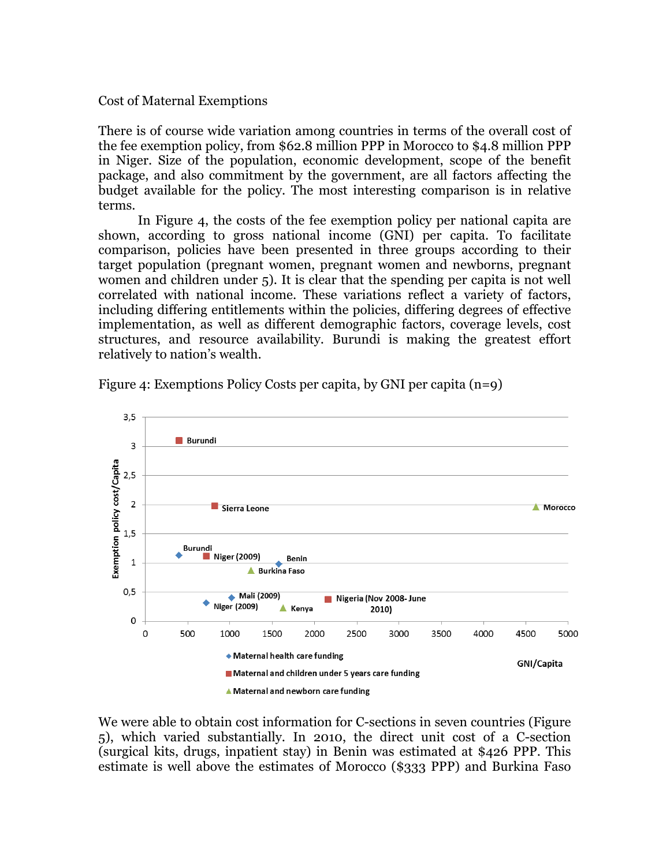#### Cost of Maternal Exemptions

There is of course wide variation among countries in terms of the overall cost of the fee exemption policy, from \$62.8 million PPP in Morocco to \$4.8 million PPP in Niger. Size of the population, economic development, scope of the benefit package, and also commitment by the government, are all factors affecting the budget available for the policy. The most interesting comparison is in relative terms.

In Figure 4, the costs of the fee exemption policy per national capita are shown, according to gross national income (GNI) per capita. To facilitate comparison, policies have been presented in three groups according to their target population (pregnant women, pregnant women and newborns, pregnant women and children under 5). It is clear that the spending per capita is not well correlated with national income. These variations reflect a variety of factors, including differing entitlements within the policies, differing degrees of effective implementation, as well as different demographic factors, coverage levels, cost structures, and resource availability. Burundi is making the greatest effort relatively to nation's wealth.



Figure 4: Exemptions Policy Costs per capita, by GNI per capita (n=9)

We were able to obtain cost information for C-sections in seven countries (Figure 5), which varied substantially. In 2010, the direct unit cost of a C-section (surgical kits, drugs, inpatient stay) in Benin was estimated at \$426 PPP. This estimate is well above the estimates of Morocco (\$333 PPP) and Burkina Faso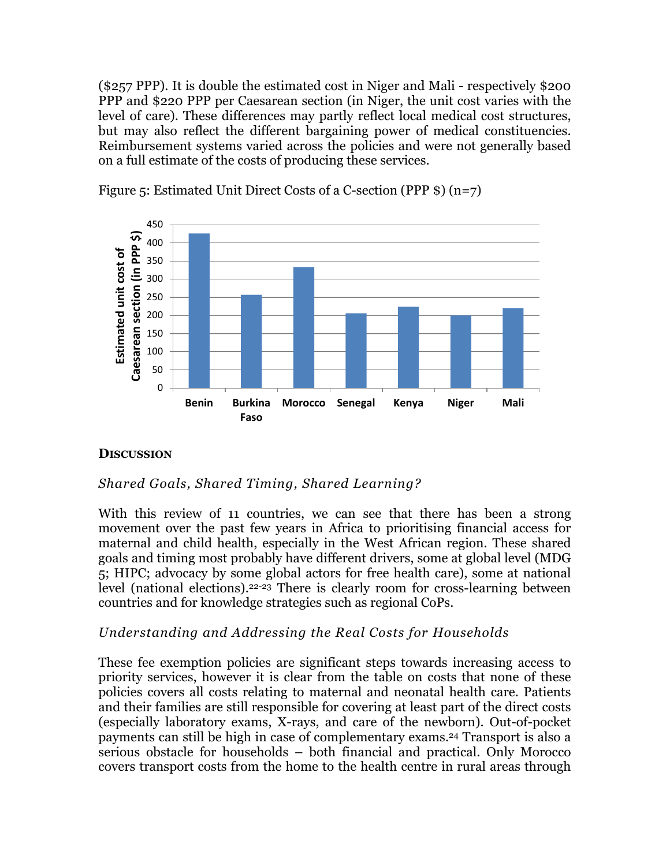(\$257 PPP). It is double the estimated cost in Niger and Mali - respectively \$200 PPP and \$220 PPP per Caesarean section (in Niger, the unit cost varies with the level of care). These differences may partly reflect local medical cost structures, but may also reflect the different bargaining power of medical constituencies. Reimbursement systems varied across the policies and were not generally based on a full estimate of the costs of producing these services.



Figure 5: Estimated Unit Direct Costs of a C-section (PPP \$) (n=7)

# **DISCUSSION**

# *Shared Goals, Shared Timing, Shared Learning?*

With this review of 11 countries, we can see that there has been a strong movement over the past few years in Africa to prioritising financial access for maternal and child health, especially in the West African region. These shared goals and timing most probably have different drivers, some at global level (MDG 5; HIPC; advocacy by some global actors for free health care), some at national level (national elections).22-23 There is clearly room for cross-learning between countries and for knowledge strategies such as regional CoPs.

# *Understanding and Addressing the Real Costs for Households*

These fee exemption policies are significant steps towards increasing access to priority services, however it is clear from the table on costs that none of these policies covers all costs relating to maternal and neonatal health care. Patients and their families are still responsible for covering at least part of the direct costs (especially laboratory exams, X-rays, and care of the newborn). Out-of-pocket payments can still be high in case of complementary exams.24 Transport is also a serious obstacle for households – both financial and practical. Only Morocco covers transport costs from the home to the health centre in rural areas through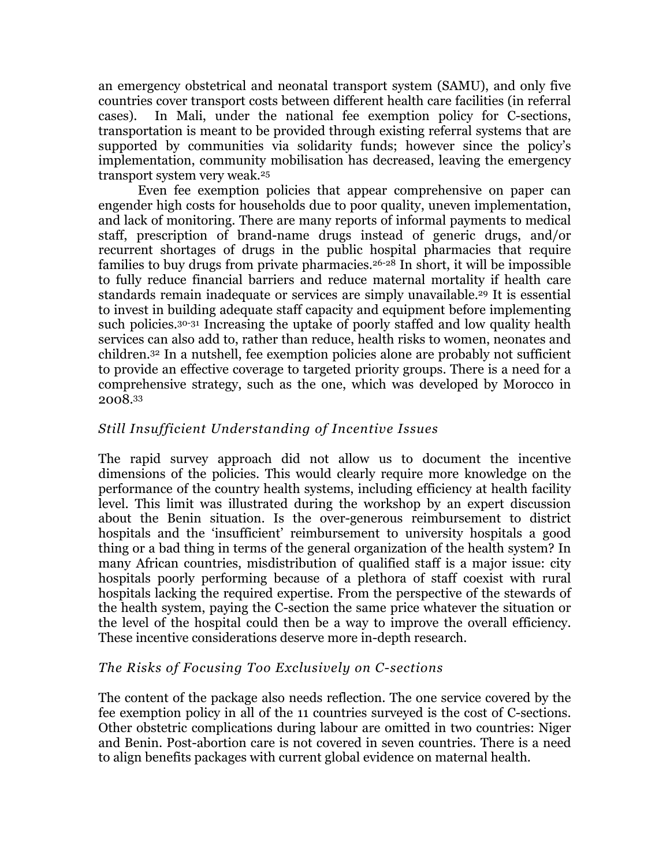an emergency obstetrical and neonatal transport system (SAMU), and only five countries cover transport costs between different health care facilities (in referral cases). In Mali, under the national fee exemption policy for C-sections, transportation is meant to be provided through existing referral systems that are supported by communities via solidarity funds; however since the policy's implementation, community mobilisation has decreased, leaving the emergency transport system very weak.25

Even fee exemption policies that appear comprehensive on paper can engender high costs for households due to poor quality, uneven implementation, and lack of monitoring. There are many reports of informal payments to medical staff, prescription of brand-name drugs instead of generic drugs, and/or recurrent shortages of drugs in the public hospital pharmacies that require families to buy drugs from private pharmacies.26-28 In short, it will be impossible to fully reduce financial barriers and reduce maternal mortality if health care standards remain inadequate or services are simply unavailable.<sup>29</sup> It is essential to invest in building adequate staff capacity and equipment before implementing such policies.30-31 Increasing the uptake of poorly staffed and low quality health services can also add to, rather than reduce, health risks to women, neonates and children.32 In a nutshell, fee exemption policies alone are probably not sufficient to provide an effective coverage to targeted priority groups. There is a need for a comprehensive strategy, such as the one, which was developed by Morocco in 2008.33

# *Still Insufficient Understanding of Incentive Issues*

The rapid survey approach did not allow us to document the incentive dimensions of the policies. This would clearly require more knowledge on the performance of the country health systems, including efficiency at health facility level. This limit was illustrated during the workshop by an expert discussion about the Benin situation. Is the over-generous reimbursement to district hospitals and the 'insufficient' reimbursement to university hospitals a good thing or a bad thing in terms of the general organization of the health system? In many African countries, misdistribution of qualified staff is a major issue: city hospitals poorly performing because of a plethora of staff coexist with rural hospitals lacking the required expertise. From the perspective of the stewards of the health system, paying the C-section the same price whatever the situation or the level of the hospital could then be a way to improve the overall efficiency. These incentive considerations deserve more in-depth research.

# *The Risks of Focusing Too Exclusively on C-sections*

The content of the package also needs reflection. The one service covered by the fee exemption policy in all of the 11 countries surveyed is the cost of C-sections. Other obstetric complications during labour are omitted in two countries: Niger and Benin. Post-abortion care is not covered in seven countries. There is a need to align benefits packages with current global evidence on maternal health.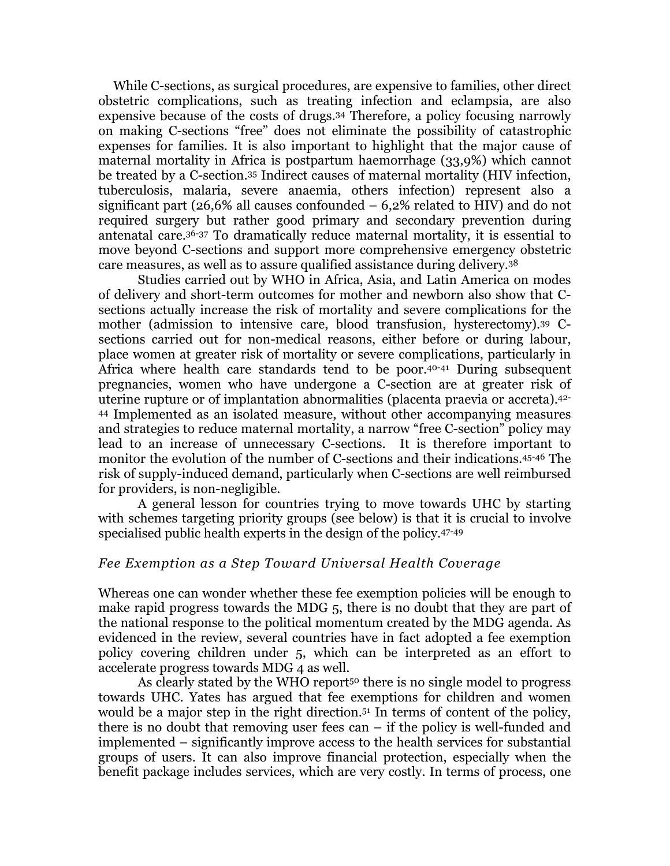While C-sections, as surgical procedures, are expensive to families, other direct obstetric complications, such as treating infection and eclampsia, are also expensive because of the costs of drugs.34 Therefore, a policy focusing narrowly on making C-sections "free" does not eliminate the possibility of catastrophic expenses for families. It is also important to highlight that the major cause of maternal mortality in Africa is postpartum haemorrhage (33,9%) which cannot be treated by a C-section.35 Indirect causes of maternal mortality (HIV infection, tuberculosis, malaria, severe anaemia, others infection) represent also a significant part (26,6% all causes confounded – 6,2% related to HIV) and do not required surgery but rather good primary and secondary prevention during antenatal care.36-37 To dramatically reduce maternal mortality, it is essential to move beyond C-sections and support more comprehensive emergency obstetric care measures, as well as to assure qualified assistance during delivery.38

Studies carried out by WHO in Africa, Asia, and Latin America on modes of delivery and short-term outcomes for mother and newborn also show that Csections actually increase the risk of mortality and severe complications for the mother (admission to intensive care, blood transfusion, hysterectomy).39 Csections carried out for non-medical reasons, either before or during labour, place women at greater risk of mortality or severe complications, particularly in Africa where health care standards tend to be poor.40-41 During subsequent pregnancies, women who have undergone a C-section are at greater risk of uterine rupture or of implantation abnormalities (placenta praevia or accreta).42- <sup>44</sup> Implemented as an isolated measure, without other accompanying measures and strategies to reduce maternal mortality, a narrow "free C-section" policy may lead to an increase of unnecessary C-sections. It is therefore important to monitor the evolution of the number of C-sections and their indications.45-46 The risk of supply-induced demand, particularly when C-sections are well reimbursed for providers, is non-negligible.

A general lesson for countries trying to move towards UHC by starting with schemes targeting priority groups (see below) is that it is crucial to involve specialised public health experts in the design of the policy.47-49

### *Fee Exemption as a Step Toward Universal Health Coverage*

Whereas one can wonder whether these fee exemption policies will be enough to make rapid progress towards the MDG 5, there is no doubt that they are part of the national response to the political momentum created by the MDG agenda. As evidenced in the review, several countries have in fact adopted a fee exemption policy covering children under 5, which can be interpreted as an effort to accelerate progress towards MDG 4 as well.

As clearly stated by the WHO report<sup>50</sup> there is no single model to progress towards UHC. Yates has argued that fee exemptions for children and women would be a major step in the right direction.51 In terms of content of the policy, there is no doubt that removing user fees can – if the policy is well-funded and implemented – significantly improve access to the health services for substantial groups of users. It can also improve financial protection, especially when the benefit package includes services, which are very costly. In terms of process, one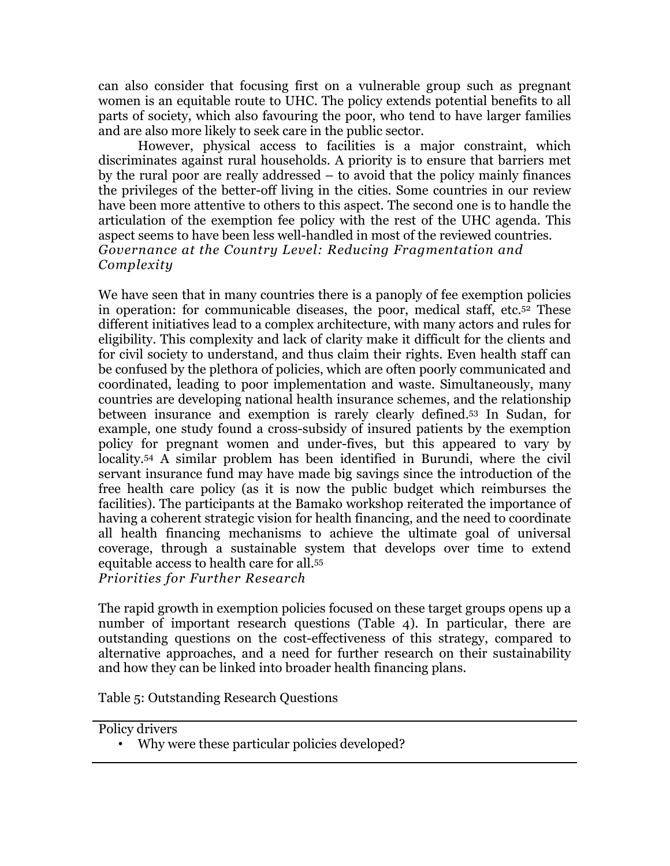can also consider that focusing first on a vulnerable group such as pregnant women is an equitable route to UHC. The policy extends potential benefits to all parts of society, which also favouring the poor, who tend to have larger families and are also more likely to seek care in the public sector.

However, physical access to facilities is a major constraint, which discriminates against rural households. A priority is to ensure that barriers met by the rural poor are really addressed – to avoid that the policy mainly finances the privileges of the better-off living in the cities. Some countries in our review have been more attentive to others to this aspect. The second one is to handle the articulation of the exemption fee policy with the rest of the UHC agenda. This aspect seems to have been less well-handled in most of the reviewed countries. *Governance at the Country Level: Reducing Fragmentation and Complexity*

We have seen that in many countries there is a panoply of fee exemption policies in operation: for communicable diseases, the poor, medical staff, etc.52 These different initiatives lead to a complex architecture, with many actors and rules for eligibility. This complexity and lack of clarity make it difficult for the clients and for civil society to understand, and thus claim their rights. Even health staff can be confused by the plethora of policies, which are often poorly communicated and coordinated, leading to poor implementation and waste. Simultaneously, many countries are developing national health insurance schemes, and the relationship between insurance and exemption is rarely clearly defined.53 In Sudan, for example, one study found a cross-subsidy of insured patients by the exemption policy for pregnant women and under-fives, but this appeared to vary by locality.54 A similar problem has been identified in Burundi, where the civil servant insurance fund may have made big savings since the introduction of the free health care policy (as it is now the public budget which reimburses the facilities). The participants at the Bamako workshop reiterated the importance of having a coherent strategic vision for health financing, and the need to coordinate all health financing mechanisms to achieve the ultimate goal of universal coverage, through a sustainable system that develops over time to extend equitable access to health care for all.55 *Priorities for Further Research*

The rapid growth in exemption policies focused on these target groups opens up a number of important research questions (Table 4). In particular, there are outstanding questions on the cost-effectiveness of this strategy, compared to alternative approaches, and a need for further research on their sustainability and how they can be linked into broader health financing plans.

Table 5: Outstanding Research Questions

Policy drivers

• Why were these particular policies developed?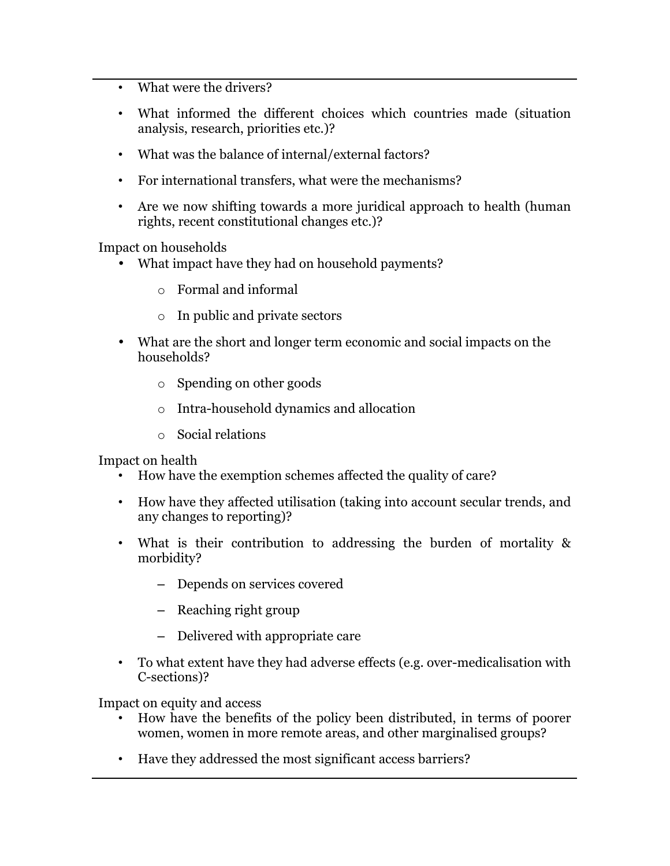- What were the drivers?
- What informed the different choices which countries made (situation analysis, research, priorities etc.)?
- What was the balance of internal/external factors?
- For international transfers, what were the mechanisms?
- Are we now shifting towards a more juridical approach to health (human rights, recent constitutional changes etc.)?

Impact on households

- What impact have they had on household payments?
	- o Formal and informal
	- o In public and private sectors
- What are the short and longer term economic and social impacts on the households?
	- o Spending on other goods
	- o Intra-household dynamics and allocation
	- o Social relations

Impact on health

- How have the exemption schemes affected the quality of care?
- How have they affected utilisation (taking into account secular trends, and any changes to reporting)?
- What is their contribution to addressing the burden of mortality & morbidity?
	- Depends on services covered
	- Reaching right group
	- Delivered with appropriate care
- To what extent have they had adverse effects (e.g. over-medicalisation with C-sections)?

Impact on equity and access

- How have the benefits of the policy been distributed, in terms of poorer women, women in more remote areas, and other marginalised groups?
- Have they addressed the most significant access barriers?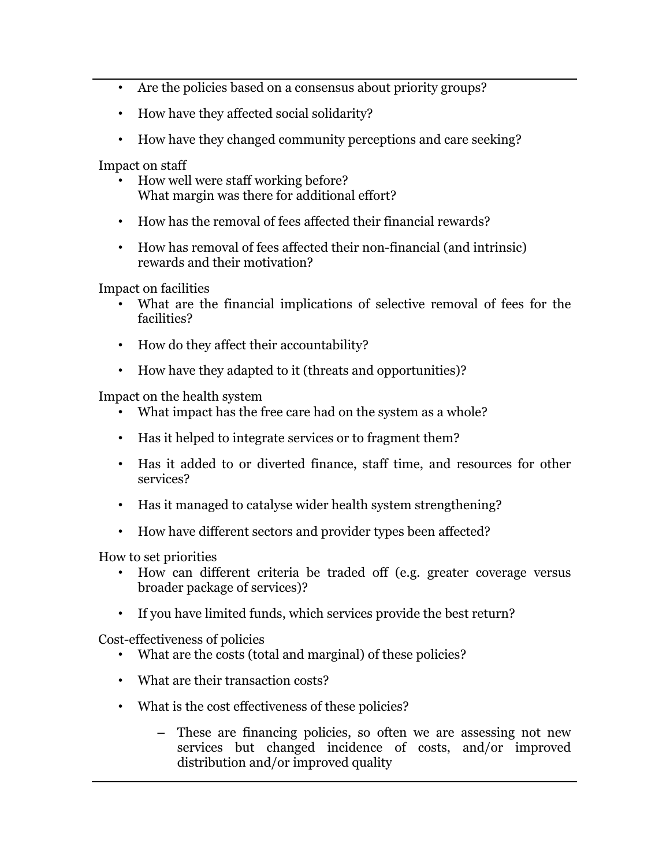- Are the policies based on a consensus about priority groups?
- How have they affected social solidarity?
- How have they changed community perceptions and care seeking?

Impact on staff

- How well were staff working before? What margin was there for additional effort?
- How has the removal of fees affected their financial rewards?
- How has removal of fees affected their non-financial (and intrinsic) rewards and their motivation?

Impact on facilities

- What are the financial implications of selective removal of fees for the facilities?
- How do they affect their accountability?
- How have they adapted to it (threats and opportunities)?

Impact on the health system

- What impact has the free care had on the system as a whole?
- Has it helped to integrate services or to fragment them?
- Has it added to or diverted finance, staff time, and resources for other services?
- Has it managed to catalyse wider health system strengthening?
- How have different sectors and provider types been affected?

How to set priorities

- How can different criteria be traded off (e.g. greater coverage versus broader package of services)?
- If you have limited funds, which services provide the best return?

Cost-effectiveness of policies

- What are the costs (total and marginal) of these policies?
- What are their transaction costs?
- What is the cost effectiveness of these policies?
	- These are financing policies, so often we are assessing not new services but changed incidence of costs, and/or improved distribution and/or improved quality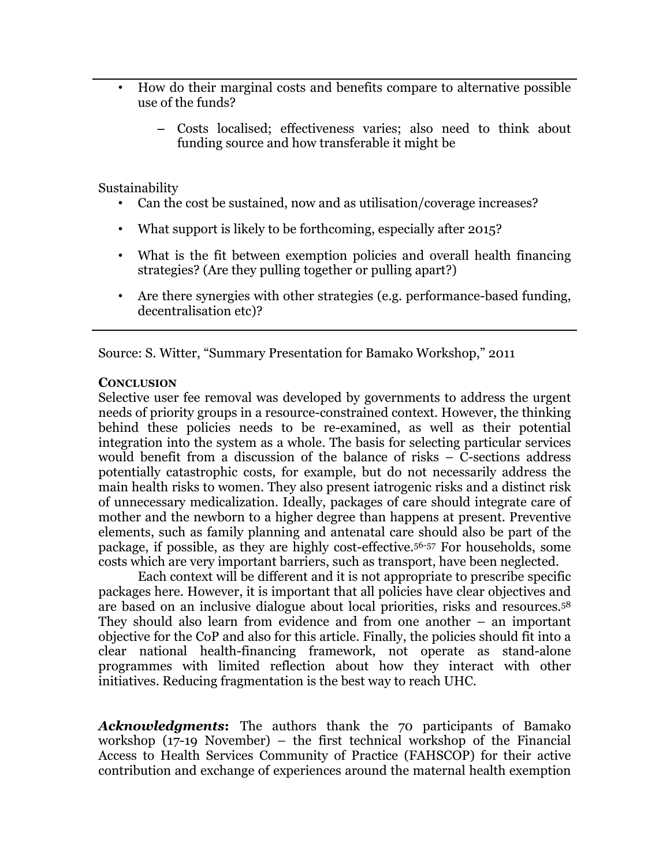- How do their marginal costs and benefits compare to alternative possible use of the funds?
	- Costs localised; effectiveness varies; also need to think about funding source and how transferable it might be

Sustainability

- Can the cost be sustained, now and as utilisation/coverage increases?
- What support is likely to be forthcoming, especially after 2015?
- What is the fit between exemption policies and overall health financing strategies? (Are they pulling together or pulling apart?)
- Are there synergies with other strategies (e.g. performance-based funding, decentralisation etc)?

Source: S. Witter, "Summary Presentation for Bamako Workshop," 2011

#### **CONCLUSION**

Selective user fee removal was developed by governments to address the urgent needs of priority groups in a resource-constrained context. However, the thinking behind these policies needs to be re-examined, as well as their potential integration into the system as a whole. The basis for selecting particular services would benefit from a discussion of the balance of risks – C-sections address potentially catastrophic costs, for example, but do not necessarily address the main health risks to women. They also present iatrogenic risks and a distinct risk of unnecessary medicalization. Ideally, packages of care should integrate care of mother and the newborn to a higher degree than happens at present. Preventive elements, such as family planning and antenatal care should also be part of the package, if possible, as they are highly cost-effective.56-57 For households, some costs which are very important barriers, such as transport, have been neglected.

Each context will be different and it is not appropriate to prescribe specific packages here. However, it is important that all policies have clear objectives and are based on an inclusive dialogue about local priorities, risks and resources.58 They should also learn from evidence and from one another – an important objective for the CoP and also for this article. Finally, the policies should fit into a clear national health-financing framework, not operate as stand-alone programmes with limited reflection about how they interact with other initiatives. Reducing fragmentation is the best way to reach UHC.

*Acknowledgments***:** The authors thank the 70 participants of Bamako workshop (17-19 November) – the first technical workshop of the Financial Access to Health Services Community of Practice (FAHSCOP) for their active contribution and exchange of experiences around the maternal health exemption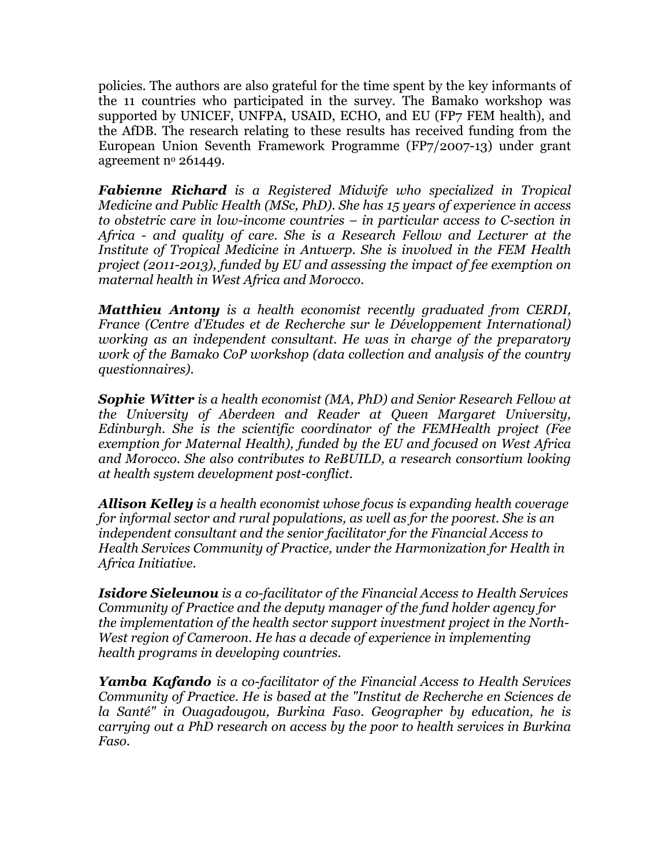policies. The authors are also grateful for the time spent by the key informants of the 11 countries who participated in the survey. The Bamako workshop was supported by UNICEF, UNFPA, USAID, ECHO, and EU (FP7 FEM health), and the AfDB. The research relating to these results has received funding from the European Union Seventh Framework Programme (FP7/2007-13) under grant agreement  $n^{\circ}$  261449.

*Fabienne Richard is a Registered Midwife who specialized in Tropical Medicine and Public Health (MSc, PhD). She has 15 years of experience in access to obstetric care in low-income countries – in particular access to C-section in Africa - and quality of care. She is a Research Fellow and Lecturer at the Institute of Tropical Medicine in Antwerp. She is involved in the FEM Health project (2011-2013), funded by EU and assessing the impact of fee exemption on maternal health in West Africa and Morocco.* 

*Matthieu Antony is a health economist recently graduated from CERDI, France (Centre d'Etudes et de Recherche sur le Développement International) working as an independent consultant. He was in charge of the preparatory work of the Bamako CoP workshop (data collection and analysis of the country questionnaires).*

*Sophie Witter is a health economist (MA, PhD) and Senior Research Fellow at the University of Aberdeen and Reader at Queen Margaret University, Edinburgh. She is the scientific coordinator of the FEMHealth project (Fee exemption for Maternal Health), funded by the EU and focused on West Africa and Morocco. She also contributes to ReBUILD, a research consortium looking at health system development post-conflict.*

*Allison Kelley is a health economist whose focus is expanding health coverage for informal sector and rural populations, as well as for the poorest. She is an independent consultant and the senior facilitator for the Financial Access to Health Services Community of Practice, under the Harmonization for Health in Africa Initiative.*

*Isidore Sieleunou is a co-facilitator of the Financial Access to Health Services Community of Practice and the deputy manager of the fund holder agency for the implementation of the health sector support investment project in the North-West region of Cameroon. He has a decade of experience in implementing health programs in developing countries.*

*Yamba Kafando is a co-facilitator of the Financial Access to Health Services Community of Practice. He is based at the "Institut de Recherche en Sciences de la Santé" in Ouagadougou, Burkina Faso. Geographer by education, he is carrying out a PhD research on access by the poor to health services in Burkina Faso.*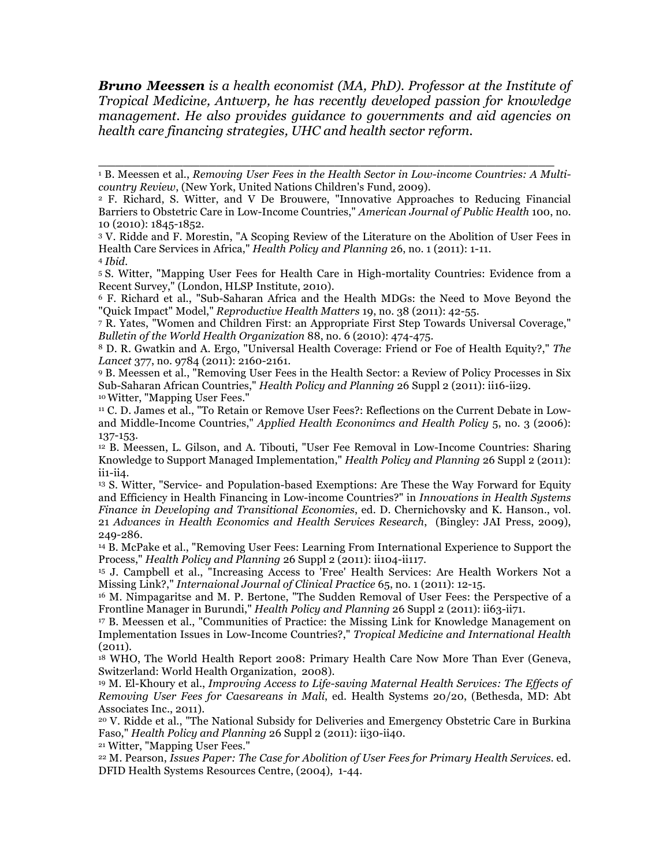*Bruno Meessen is a health economist (MA, PhD). Professor at the Institute of Tropical Medicine, Antwerp, he has recently developed passion for knowledge management. He also provides guidance to governments and aid agencies on health care financing strategies, UHC and health sector reform.* 

\_\_\_\_\_\_\_\_\_\_\_\_\_\_\_\_\_\_\_\_\_\_\_\_\_\_\_\_\_\_\_\_\_\_\_\_\_\_\_\_\_\_\_\_\_\_\_\_\_\_\_\_\_\_

<sup>5</sup> S. Witter, "Mapping User Fees for Health Care in High-mortality Countries: Evidence from a Recent Survey," (London, HLSP Institute, 2010).<br>6 F. Richard et al., "Sub-Saharan Africa and the Health MDGs: the Need to Move Beyond the

"Quick Impact" Model," *Reproductive Health Matters* 19, no. 38 (2011): 42-55.

<sup>7</sup> R. Yates, "Women and Children First: an Appropriate First Step Towards Universal Coverage," *Bulletin of the World Health Organization* 88, no. 6 (2010): 474-475.

<sup>8</sup> D. R. Gwatkin and A. Ergo, "Universal Health Coverage: Friend or Foe of Health Equity?," *The Lancet* 377, no. 9784 (2011): 2160-2161.

<sup>9</sup> B. Meessen et al., "Removing User Fees in the Health Sector: a Review of Policy Processes in Six Sub-Saharan African Countries," *Health Policy and Planning* 26 Suppl 2 (2011): ii16-ii29. 10 Witter, "Mapping User Fees."

<sup>11</sup> C. D. James et al., "To Retain or Remove User Fees?: Reflections on the Current Debate in Lowand Middle-Income Countries," *Applied Health Econonimcs and Health Policy* 5, no. 3 (2006): 137-153.

<sup>12</sup> B. Meessen, L. Gilson, and A. Tibouti, "User Fee Removal in Low-Income Countries: Sharing Knowledge to Support Managed Implementation," *Health Policy and Planning* 26 Suppl 2 (2011): ii1-ii4.

<sup>13</sup> S. Witter, "Service- and Population-based Exemptions: Are These the Way Forward for Equity and Efficiency in Health Financing in Low-income Countries?" in *Innovations in Health Systems Finance in Developing and Transitional Economies*, ed. D. Chernichovsky and K. Hanson., vol. 21 *Advances in Health Economics and Health Services Research*, (Bingley: JAI Press, 2009), 249-286.

<sup>14</sup> B. McPake et al., "Removing User Fees: Learning From International Experience to Support the Process," *Health Policy and Planning* 26 Suppl 2 (2011): ii104-ii117.

<sup>15</sup> J. Campbell et al., "Increasing Access to 'Free' Health Services: Are Health Workers Not a Missing Link?," *Internaional Journal of Clinical Practice* 65, no. 1 (2011): 12-15.

<sup>16</sup> M. Nimpagaritse and M. P. Bertone, "The Sudden Removal of User Fees: the Perspective of a Frontline Manager in Burundi," *Health Policy and Planning* 26 Suppl 2 (2011): ii63-ii71.

<sup>17</sup> B. Meessen et al., "Communities of Practice: the Missing Link for Knowledge Management on Implementation Issues in Low-Income Countries?," *Tropical Medicine and International Health* (2011).

<sup>18</sup> WHO, The World Health Report 2008: Primary Health Care Now More Than Ever (Geneva, Switzerland: World Health Organization, 2008).<br><sup>19</sup> M. El-Khoury et al., *Improving Access to Life-saving Maternal Health Services: The Effects of* 

*Removing User Fees for Caesareans in Mali*, ed. Health Systems 20/20, (Bethesda, MD: Abt Associates Inc., 2011).

<sup>20</sup> V. Ridde et al., "The National Subsidy for Deliveries and Emergency Obstetric Care in Burkina Faso," *Health Policy and Planning* 26 Suppl 2 (2011): ii30-ii40.

<sup>21</sup> Witter, "Mapping User Fees."

<sup>22</sup> M. Pearson, *Issues Paper: The Case for Abolition of User Fees for Primary Health Services*. ed. DFID Health Systems Resources Centre, (2004), 1-44.

<sup>&</sup>lt;sup>1</sup> B. Meessen et al., *Removing User Fees in the Health Sector in Low-income Countries: A Multicountry Review*, (New York, United Nations Children's Fund, 2009). 2 F. Richard, S. Witter, and V De Brouwere, "Innovative Approaches to Reducing Financial

Barriers to Obstetric Care in Low-Income Countries," *American Journal of Public Health* 100, no. 10 (2010): 1845-1852.

<sup>3</sup> V. Ridde and F. Morestin, "A Scoping Review of the Literature on the Abolition of User Fees in Health Care Services in Africa," *Health Policy and Planning* 26, no. 1 (2011): 1-11.

<sup>4</sup> *Ibid.*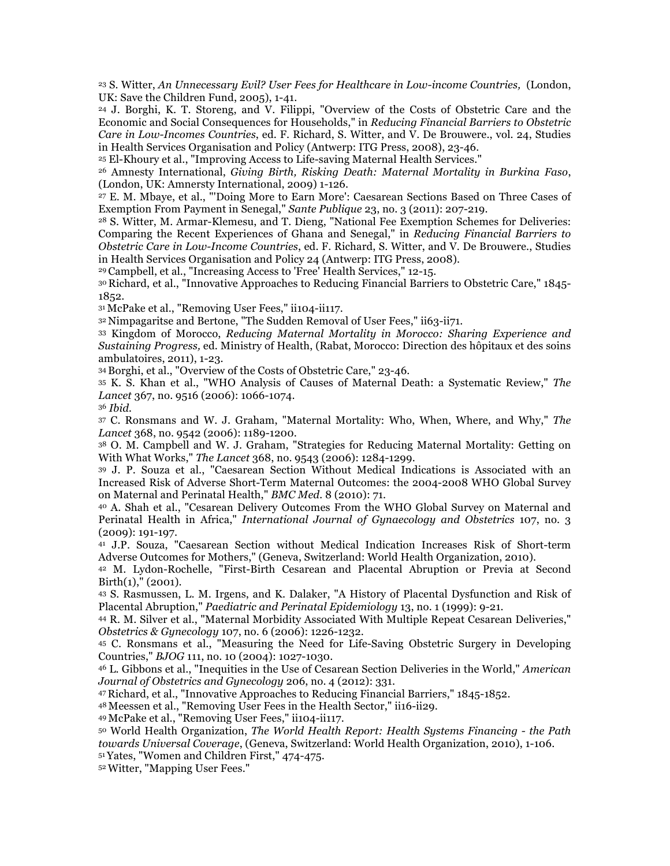<sup>23</sup> S. Witter, *An Unnecessary Evil? User Fees for Healthcare in Low-income Countries,* (London, UK: Save the Children Fund, 2005), 1-41.

<sup>24</sup> J. Borghi, K. T. Storeng, and V. Filippi, "Overview of the Costs of Obstetric Care and the Economic and Social Consequences for Households," in *Reducing Financial Barriers to Obstetric Care in Low-Incomes Countries*, ed. F. Richard, S. Witter, and V. De Brouwere., vol. 24, Studies in Health Services Organisation and Policy (Antwerp: ITG Press, 2008), 23-46.

<sup>25</sup> El-Khoury et al., "Improving Access to Life-saving Maternal Health Services."

<sup>26</sup> Amnesty International, *Giving Birth, Risking Death: Maternal Mortality in Burkina Faso*, (London, UK: Amnersty International, 2009) 1-126.

<sup>27</sup> E. M. Mbaye, et al., "'Doing More to Earn More': Caesarean Sections Based on Three Cases of Exemption From Payment in Senegal," *Sante Publique* 23, no. 3 (2011): 207-219.

<sup>28</sup> S. Witter, M. Armar-Klemesu, and T. Dieng, "National Fee Exemption Schemes for Deliveries: Comparing the Recent Experiences of Ghana and Senegal," in *Reducing Financial Barriers to Obstetric Care in Low-Income Countries*, ed. F. Richard, S. Witter, and V. De Brouwere., Studies in Health Services Organisation and Policy 24 (Antwerp: ITG Press, 2008).

29 Campbell, et al., "Increasing Access to 'Free' Health Services," 12-15.

30 Richard, et al., "Innovative Approaches to Reducing Financial Barriers to Obstetric Care," 1845- 1852.

31 McPake et al., "Removing User Fees," ii104-ii117.

32 Nimpagaritse and Bertone, "The Sudden Removal of User Fees," ii63-ii71.

<sup>33</sup> Kingdom of Morocco, *Reducing Maternal Mortality in Morocco: Sharing Experience and Sustaining Progress,* ed. Ministry of Health, (Rabat, Morocco: Direction des hôpitaux et des soins ambulatoires, 2011), 1-23.<br><sup>34</sup> Borghi, et al., "Overview of the Costs of Obstetric Care," 23-46.

<sup>35</sup> K. S. Khan et al., "WHO Analysis of Causes of Maternal Death: a Systematic Review," *The Lancet* 367, no. 9516 (2006): 1066-1074.

<sup>36</sup> *Ibid.*

<sup>37</sup> C. Ronsmans and W. J. Graham, "Maternal Mortality: Who, When, Where, and Why," *The Lancet* 368, no. 9542 (2006): 1189-1200.

<sup>38</sup> O. M. Campbell and W. J. Graham, "Strategies for Reducing Maternal Mortality: Getting on With What Works," *The Lancet* 368, no. 9543 (2006): 1284-1299.

<sup>39</sup> J. P. Souza et al., "Caesarean Section Without Medical Indications is Associated with an Increased Risk of Adverse Short-Term Maternal Outcomes: the 2004-2008 WHO Global Survey on Maternal and Perinatal Health," *BMC Med.* 8 (2010): 71.

<sup>40</sup> A. Shah et al., "Cesarean Delivery Outcomes From the WHO Global Survey on Maternal and Perinatal Health in Africa," *International Journal of Gynaecology and Obstetrics* 107, no. 3 (2009): 191-197.

<sup>41</sup> J.P. Souza, "Caesarean Section without Medical Indication Increases Risk of Short-term Adverse Outcomes for Mothers," (Geneva, Switzerland: World Health Organization, 2010).

<sup>42</sup> M. Lydon-Rochelle, "First-Birth Cesarean and Placental Abruption or Previa at Second  $Birth(1),''(2001).$ 

<sup>43</sup> S. Rasmussen, L. M. Irgens, and K. Dalaker, "A History of Placental Dysfunction and Risk of Placental Abruption," *Paediatric and Perinatal Epidemiology* 13, no. 1 (1999): 9-21.

<sup>44</sup> R. M. Silver et al., "Maternal Morbidity Associated With Multiple Repeat Cesarean Deliveries," *Obstetrics & Gynecology* 107, no. 6 (2006): 1226-1232.

<sup>45</sup> C. Ronsmans et al., "Measuring the Need for Life-Saving Obstetric Surgery in Developing Countries," *BJOG* 111, no. 10 (2004): 1027-1030.

<sup>46</sup> L. Gibbons et al., "Inequities in the Use of Cesarean Section Deliveries in the World," *American Journal of Obstetrics and Gynecology* 206, no. 4 (2012): 331.

47 Richard, et al., "Innovative Approaches to Reducing Financial Barriers," 1845-1852.

48 Meessen et al., "Removing User Fees in the Health Sector," ii16-ii29.

49 McPake et al., "Removing User Fees," ii104-ii117.

<sup>50</sup> World Health Organization, *The World Health Report: Health Systems Financing - the Path towards Universal Coverage*, (Geneva, Switzerland: World Health Organization, 2010), 1-106. 51 Yates, "Women and Children First," 474-475.

52 Witter, "Mapping User Fees."